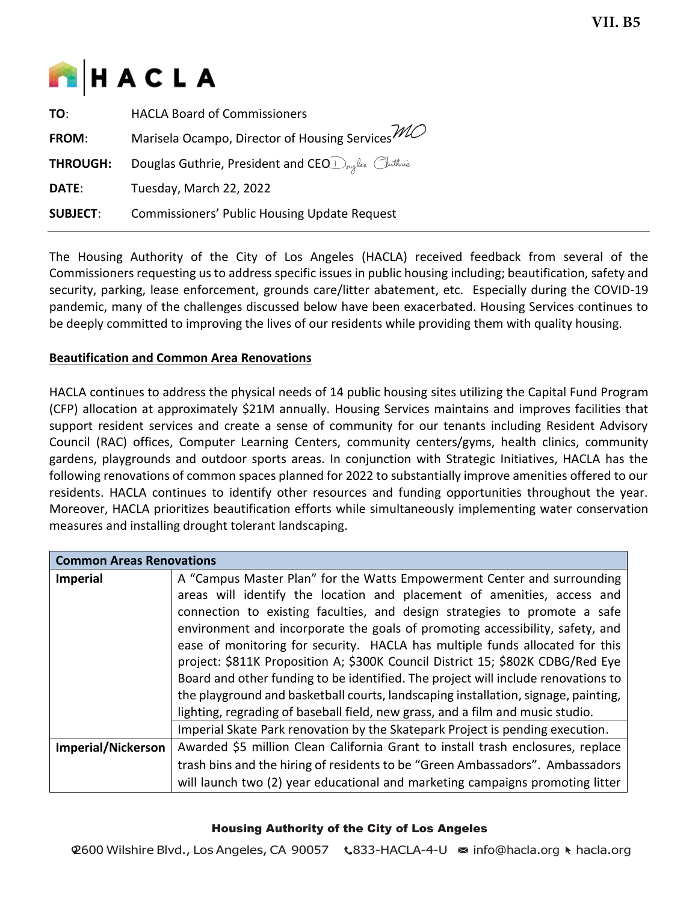

| TO:             | <b>HACLA Board of Commissioners</b>                            |  |
|-----------------|----------------------------------------------------------------|--|
| <b>FROM:</b>    | Marisela Ocampo, Director of Housing Services $\mathcal{W\!O}$ |  |
| <b>THROUGH:</b> | Douglas Guthrie, President and CEO Druglas Cuthrie             |  |
| DATE:           | Tuesday, March 22, 2022                                        |  |
| <b>SUBJECT:</b> | <b>Commissioners' Public Housing Update Request</b>            |  |

The Housing Authority of the City of Los Angeles (HACLA) received feedback from several of the Commissioners requesting us to address specific issues in public housing including; beautification, safety and security, parking, lease enforcement, grounds care/litter abatement, etc. Especially during the COVID-19 pandemic, many of the challenges discussed below have been exacerbated. Housing Services continues to be deeply committed to improving the lives of our residents while providing them with quality housing.

## **Beautification and Common Area Renovations**

HACLA continues to address the physical needs of 14 public housing sites utilizing the Capital Fund Program (CFP) allocation at approximately \$21M annually. Housing Services maintains and improves facilities that support resident services and create a sense of community for our tenants including Resident Advisory Council (RAC) offices, Computer Learning Centers, community centers/gyms, health clinics, community gardens, playgrounds and outdoor sports areas. In conjunction with Strategic Initiatives, HACLA has the following renovations of common spaces planned for 2022 to substantially improve amenities offered to our residents. HACLA continues to identify other resources and funding opportunities throughout the year. Moreover, HACLA prioritizes beautification efforts while simultaneously implementing water conservation measures and installing drought tolerant landscaping.

| <b>Common Areas Renovations</b> |                                                                                    |  |  |
|---------------------------------|------------------------------------------------------------------------------------|--|--|
| <b>Imperial</b>                 | A "Campus Master Plan" for the Watts Empowerment Center and surrounding            |  |  |
|                                 | areas will identify the location and placement of amenities, access and            |  |  |
|                                 | connection to existing faculties, and design strategies to promote a safe          |  |  |
|                                 | environment and incorporate the goals of promoting accessibility, safety, and      |  |  |
|                                 | ease of monitoring for security. HACLA has multiple funds allocated for this       |  |  |
|                                 | project: \$811K Proposition A; \$300K Council District 15; \$802K CDBG/Red Eye     |  |  |
|                                 | Board and other funding to be identified. The project will include renovations to  |  |  |
|                                 | the playground and basketball courts, landscaping installation, signage, painting, |  |  |
|                                 | lighting, regrading of baseball field, new grass, and a film and music studio.     |  |  |
|                                 | Imperial Skate Park renovation by the Skatepark Project is pending execution.      |  |  |
| <b>Imperial/Nickerson</b>       | Awarded \$5 million Clean California Grant to install trash enclosures, replace    |  |  |
|                                 | trash bins and the hiring of residents to be "Green Ambassadors". Ambassadors      |  |  |
|                                 | will launch two (2) year educational and marketing campaigns promoting litter      |  |  |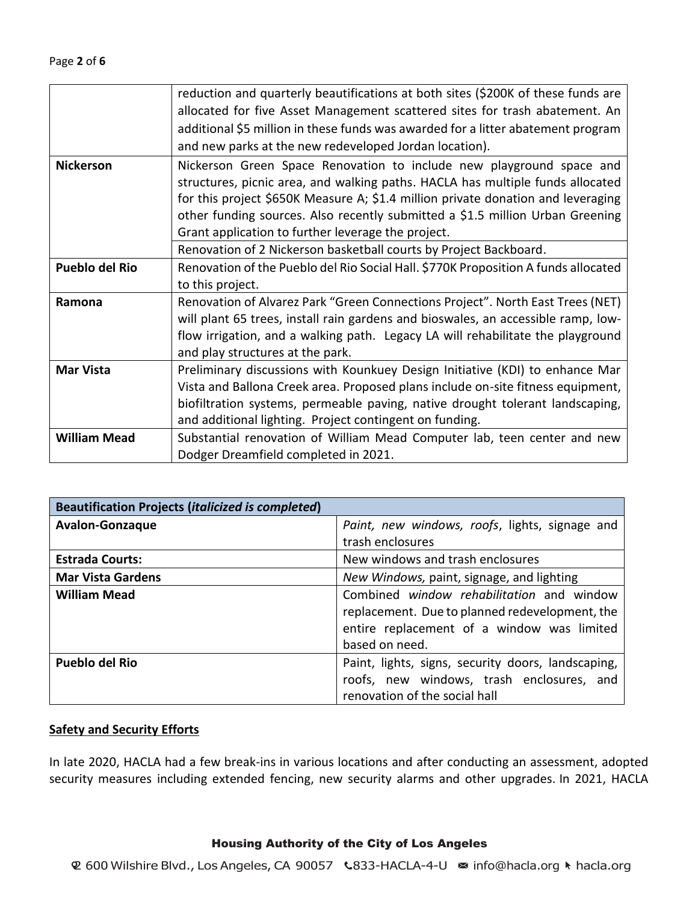|                       | reduction and quarterly beautifications at both sites (\$200K of these funds are   |  |  |
|-----------------------|------------------------------------------------------------------------------------|--|--|
|                       | allocated for five Asset Management scattered sites for trash abatement. An        |  |  |
|                       | additional \$5 million in these funds was awarded for a litter abatement program   |  |  |
|                       | and new parks at the new redeveloped Jordan location).                             |  |  |
| <b>Nickerson</b>      | Nickerson Green Space Renovation to include new playground space and               |  |  |
|                       | structures, picnic area, and walking paths. HACLA has multiple funds allocated     |  |  |
|                       | for this project \$650K Measure A; \$1.4 million private donation and leveraging   |  |  |
|                       | other funding sources. Also recently submitted a \$1.5 million Urban Greening      |  |  |
|                       | Grant application to further leverage the project.                                 |  |  |
|                       | Renovation of 2 Nickerson basketball courts by Project Backboard.                  |  |  |
| <b>Pueblo del Rio</b> | Renovation of the Pueblo del Rio Social Hall. \$770K Proposition A funds allocated |  |  |
|                       | to this project.                                                                   |  |  |
| Ramona                | Renovation of Alvarez Park "Green Connections Project". North East Trees (NET)     |  |  |
|                       | will plant 65 trees, install rain gardens and bioswales, an accessible ramp, low-  |  |  |
|                       | flow irrigation, and a walking path. Legacy LA will rehabilitate the playground    |  |  |
|                       | and play structures at the park.                                                   |  |  |
| <b>Mar Vista</b>      | Preliminary discussions with Kounkuey Design Initiative (KDI) to enhance Mar       |  |  |
|                       | Vista and Ballona Creek area. Proposed plans include on-site fitness equipment,    |  |  |
|                       | biofiltration systems, permeable paving, native drought tolerant landscaping,      |  |  |
|                       | and additional lighting. Project contingent on funding.                            |  |  |
| <b>William Mead</b>   | Substantial renovation of William Mead Computer lab, teen center and new           |  |  |
|                       | Dodger Dreamfield completed in 2021.                                               |  |  |

| <b>Beautification Projects (italicized is completed)</b> |                                                    |
|----------------------------------------------------------|----------------------------------------------------|
| <b>Avalon-Gonzaque</b>                                   | Paint, new windows, roofs, lights, signage and     |
|                                                          | trash enclosures                                   |
| <b>Estrada Courts:</b>                                   | New windows and trash enclosures                   |
| <b>Mar Vista Gardens</b>                                 | New Windows, paint, signage, and lighting          |
| <b>William Mead</b>                                      | Combined window rehabilitation and window          |
|                                                          | replacement. Due to planned redevelopment, the     |
|                                                          | entire replacement of a window was limited         |
|                                                          | based on need.                                     |
| <b>Pueblo del Rio</b>                                    | Paint, lights, signs, security doors, landscaping, |
|                                                          | roofs, new windows, trash enclosures, and          |
|                                                          | renovation of the social hall                      |

## **Safety and Security Efforts**

In late 2020, HACLA had a few break-ins in various locations and after conducting an assessment, adopted security measures including extended fencing, new security alarms and other upgrades. In 2021, HACLA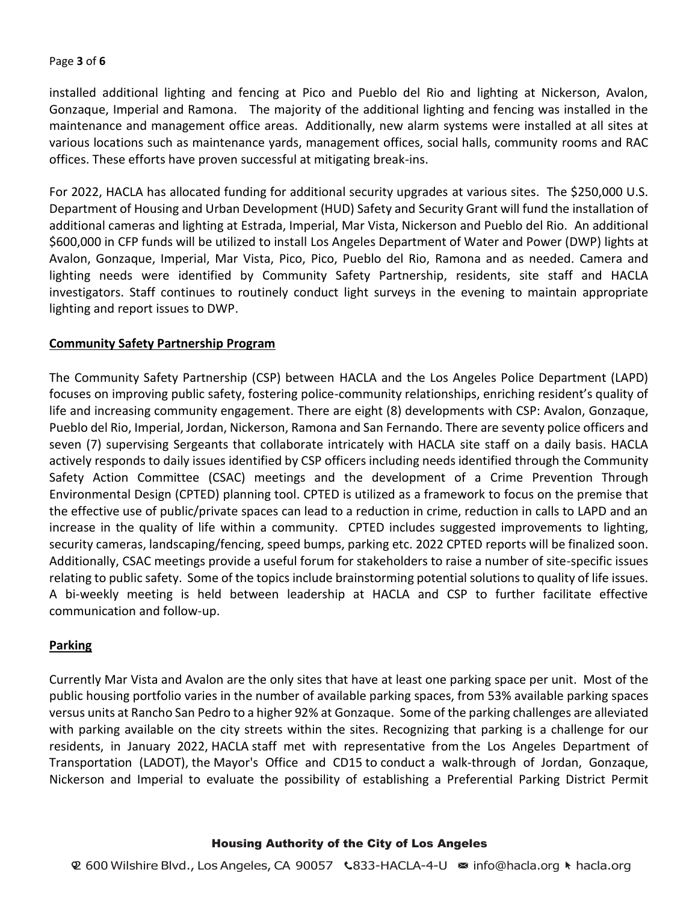## Page **3** of **6**

installed additional lighting and fencing at Pico and Pueblo del Rio and lighting at Nickerson, Avalon, Gonzaque, Imperial and Ramona. The majority of the additional lighting and fencing was installed in the maintenance and management office areas. Additionally, new alarm systems were installed at all sites at various locations such as maintenance yards, management offices, social halls, community rooms and RAC offices. These efforts have proven successful at mitigating break-ins.

For 2022, HACLA has allocated funding for additional security upgrades at various sites. The \$250,000 U.S. Department of Housing and Urban Development (HUD) Safety and Security Grant will fund the installation of additional cameras and lighting at Estrada, Imperial, Mar Vista, Nickerson and Pueblo del Rio. An additional \$600,000 in CFP funds will be utilized to install Los Angeles Department of Water and Power (DWP) lights at Avalon, Gonzaque, Imperial, Mar Vista, Pico, Pico, Pueblo del Rio, Ramona and as needed. Camera and lighting needs were identified by Community Safety Partnership, residents, site staff and HACLA investigators. Staff continues to routinely conduct light surveys in the evening to maintain appropriate lighting and report issues to DWP.

# **Community Safety Partnership Program**

The Community Safety Partnership (CSP) between HACLA and the Los Angeles Police Department (LAPD) focuses on improving public safety, fostering police-community relationships, enriching resident's quality of life and increasing community engagement. There are eight (8) developments with CSP: Avalon, Gonzaque, Pueblo del Rio, Imperial, Jordan, Nickerson, Ramona and San Fernando. There are seventy police officers and seven (7) supervising Sergeants that collaborate intricately with HACLA site staff on a daily basis. HACLA actively responds to daily issues identified by CSP officers including needs identified through the Community Safety Action Committee (CSAC) meetings and the development of a Crime Prevention Through Environmental Design (CPTED) planning tool. CPTED is utilized as a framework to focus on the premise that the effective use of public/private spaces can lead to a reduction in crime, reduction in calls to LAPD and an increase in the quality of life within a community. CPTED includes suggested improvements to lighting, security cameras, landscaping/fencing, speed bumps, parking etc. 2022 CPTED reports will be finalized soon. Additionally, CSAC meetings provide a useful forum for stakeholders to raise a number of site-specific issues relating to public safety. Some of the topics include brainstorming potential solutions to quality of life issues. A bi-weekly meeting is held between leadership at HACLA and CSP to further facilitate effective communication and follow-up.

## **Parking**

Currently Mar Vista and Avalon are the only sites that have at least one parking space per unit. Most of the public housing portfolio varies in the number of available parking spaces, from 53% available parking spaces versus units at Rancho San Pedro to a higher 92% at Gonzaque. Some of the parking challenges are alleviated with parking available on the city streets within the sites. Recognizing that parking is a challenge for our residents, in January 2022, HACLA staff met with representative from the Los Angeles Department of Transportation (LADOT), the Mayor's Office and CD15 to conduct a walk-through of Jordan, Gonzaque, Nickerson and Imperial to evaluate the possibility of establishing a Preferential Parking District Permit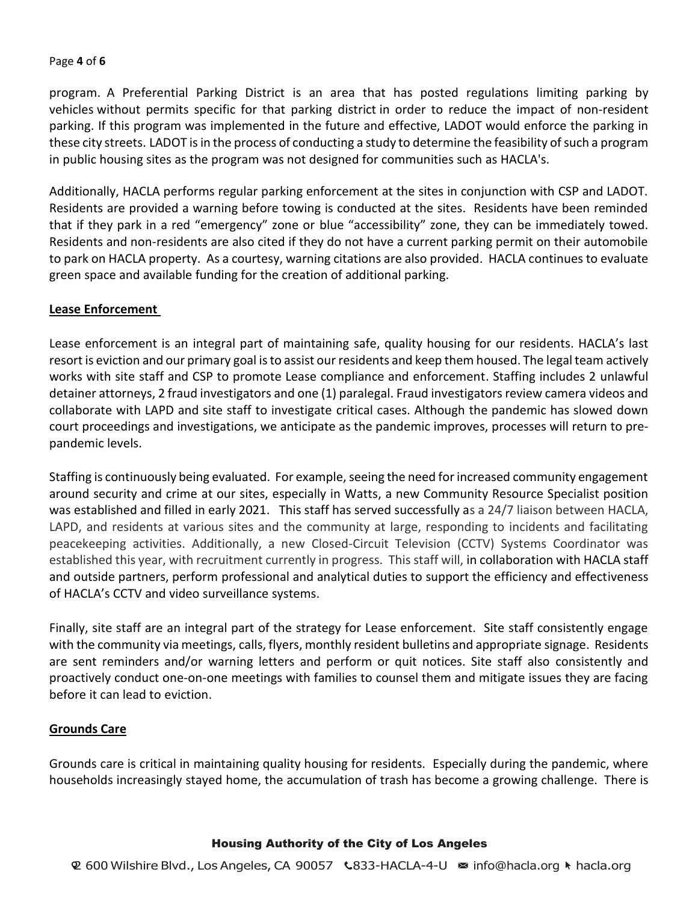## Page **4** of **6**

program. A Preferential Parking District is an area that has posted regulations limiting parking by vehicles without permits specific for that parking district in order to reduce the impact of non-resident parking. If this program was implemented in the future and effective, LADOT would enforce the parking in these city streets. LADOT is in the process of conducting a study to determine the feasibility of such a program in public housing sites as the program was not designed for communities such as HACLA's.

Additionally, HACLA performs regular parking enforcement at the sites in conjunction with CSP and LADOT. Residents are provided a warning before towing is conducted at the sites. Residents have been reminded that if they park in a red "emergency" zone or blue "accessibility" zone, they can be immediately towed. Residents and non-residents are also cited if they do not have a current parking permit on their automobile to park on HACLA property. As a courtesy, warning citations are also provided. HACLA continues to evaluate green space and available funding for the creation of additional parking.

# **Lease Enforcement**

Lease enforcement is an integral part of maintaining safe, quality housing for our residents. HACLA's last resort is eviction and our primary goal is to assist our residents and keep them housed. The legal team actively works with site staff and CSP to promote Lease compliance and enforcement. Staffing includes 2 unlawful detainer attorneys, 2 fraud investigators and one (1) paralegal. Fraud investigators review camera videos and collaborate with LAPD and site staff to investigate critical cases. Although the pandemic has slowed down court proceedings and investigations, we anticipate as the pandemic improves, processes will return to prepandemic levels.

Staffing is continuously being evaluated. For example, seeing the need for increased community engagement around security and crime at our sites, especially in Watts, a new Community Resource Specialist position was established and filled in early 2021. This staff has served successfully as a 24/7 liaison between HACLA, LAPD, and residents at various sites and the community at large, responding to incidents and facilitating peacekeeping activities. Additionally, a new Closed-Circuit Television (CCTV) Systems Coordinator was established this year, with recruitment currently in progress. This staff will, in collaboration with HACLA staff and outside partners, perform professional and analytical duties to support the efficiency and effectiveness of HACLA's CCTV and video surveillance systems.

Finally, site staff are an integral part of the strategy for Lease enforcement. Site staff consistently engage with the community via meetings, calls, flyers, monthly resident bulletins and appropriate signage. Residents are sent reminders and/or warning letters and perform or quit notices. Site staff also consistently and proactively conduct one-on-one meetings with families to counsel them and mitigate issues they are facing before it can lead to eviction.

# **Grounds Care**

Grounds care is critical in maintaining quality housing for residents. Especially during the pandemic, where households increasingly stayed home, the accumulation of trash has become a growing challenge. There is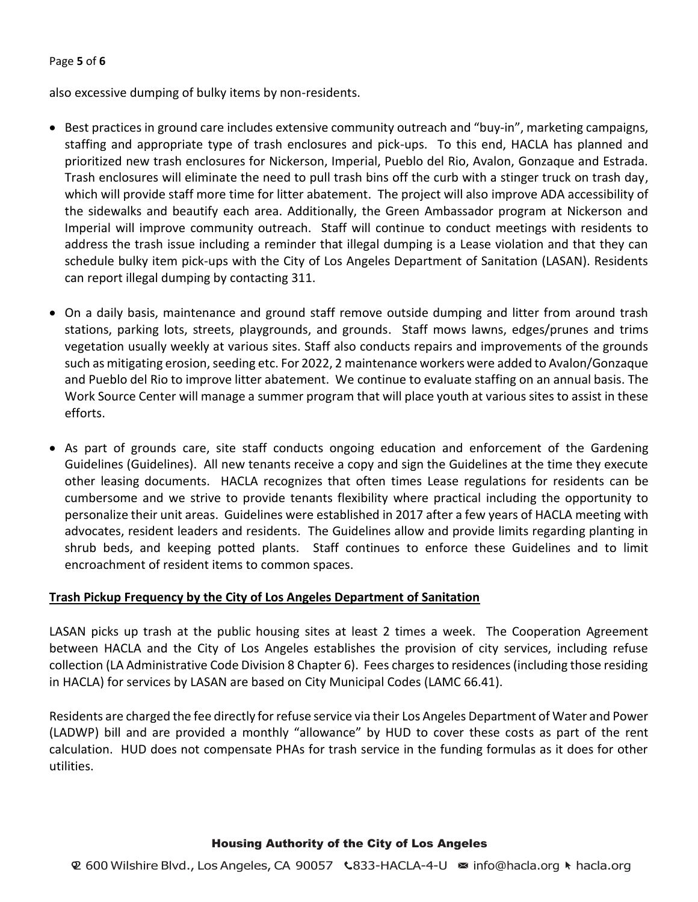### Page **5** of **6**

also excessive dumping of bulky items by non-residents.

- Best practices in ground care includes extensive community outreach and "buy-in", marketing campaigns, staffing and appropriate type of trash enclosures and pick-ups. To this end, HACLA has planned and prioritized new trash enclosures for Nickerson, Imperial, Pueblo del Rio, Avalon, Gonzaque and Estrada. Trash enclosures will eliminate the need to pull trash bins off the curb with a stinger truck on trash day, which will provide staff more time for litter abatement. The project will also improve ADA accessibility of the sidewalks and beautify each area. Additionally, the Green Ambassador program at Nickerson and Imperial will improve community outreach. Staff will continue to conduct meetings with residents to address the trash issue including a reminder that illegal dumping is a Lease violation and that they can schedule bulky item pick-ups with the City of Los Angeles Department of Sanitation (LASAN). Residents can report illegal dumping by contacting 311.
- On a daily basis, maintenance and ground staff remove outside dumping and litter from around trash stations, parking lots, streets, playgrounds, and grounds. Staff mows lawns, edges/prunes and trims vegetation usually weekly at various sites. Staff also conducts repairs and improvements of the grounds such as mitigating erosion, seeding etc. For 2022, 2 maintenance workers were added to Avalon/Gonzaque and Pueblo del Rio to improve litter abatement. We continue to evaluate staffing on an annual basis. The Work Source Center will manage a summer program that will place youth at various sites to assist in these efforts.
- As part of grounds care, site staff conducts ongoing education and enforcement of the Gardening Guidelines (Guidelines). All new tenants receive a copy and sign the Guidelines at the time they execute other leasing documents. HACLA recognizes that often times Lease regulations for residents can be cumbersome and we strive to provide tenants flexibility where practical including the opportunity to personalize their unit areas. Guidelines were established in 2017 after a few years of HACLA meeting with advocates, resident leaders and residents. The Guidelines allow and provide limits regarding planting in shrub beds, and keeping potted plants. Staff continues to enforce these Guidelines and to limit encroachment of resident items to common spaces.

# **Trash Pickup Frequency by the City of Los Angeles Department of Sanitation**

LASAN picks up trash at the public housing sites at least 2 times a week. The Cooperation Agreement between HACLA and the City of Los Angeles establishes the provision of city services, including refuse collection (LA Administrative Code Division 8 Chapter 6). Fees charges to residences (including those residing in HACLA) for services by LASAN are based on City Municipal Codes (LAMC 66.41).

Residents are charged the fee directly for refuse service via their Los Angeles Department of Water and Power (LADWP) bill and are provided a monthly "allowance" by HUD to cover these costs as part of the rent calculation. HUD does not compensate PHAs for trash service in the funding formulas as it does for other utilities.